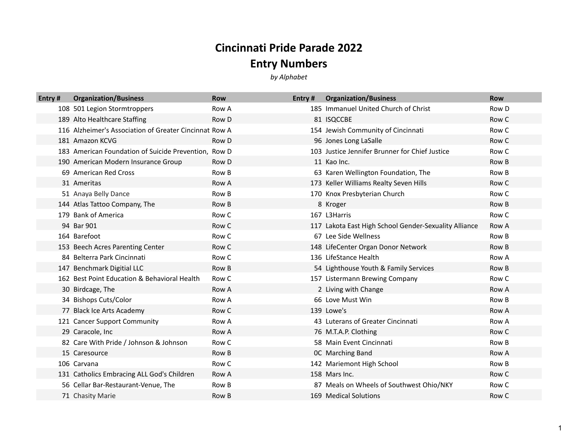## **Cincinnati Pride Parade 2022**

## **Entry Numbers**

*by Alphabet*

| Entry# | <b>Organization/Business</b>                           | <b>Row</b>   | Entry $#$ | <b>Organization/Business</b>                          | <b>Row</b>   |
|--------|--------------------------------------------------------|--------------|-----------|-------------------------------------------------------|--------------|
|        | 108 501 Legion Stormtroppers                           | Row A        |           | 185 Immanuel United Church of Christ                  | Row D        |
|        | 189 Alto Healthcare Staffing                           | Row D        |           | 81 ISQCCBE                                            | Row C        |
|        | 116 Alzheimer's Association of Greater Cincinnat Row A |              |           | 154 Jewish Community of Cincinnati                    | Row C        |
|        | 181 Amazon KCVG                                        | Row D        |           | 96 Jones Long LaSalle                                 | Row C        |
|        | 183 American Foundation of Suicide Prevention. Row D   |              |           | 103 Justice Jennifer Brunner for Chief Justice        | Row C        |
|        | 190 American Modern Insurance Group                    | Row D        |           | 11 Kao Inc.                                           | Row B        |
|        | 69 American Red Cross                                  | Row B        |           | 63 Karen Wellington Foundation, The                   | Row B        |
|        | 31 Ameritas                                            | Row A        |           | 173 Keller Williams Realty Seven Hills                | Row C        |
|        | 51 Anaya Belly Dance                                   | Row B        |           | 170 Knox Presbyterian Church                          | Row C        |
|        | 144 Atlas Tattoo Company, The                          | Row B        |           | 8 Kroger                                              | Row B        |
|        | 179 Bank of America                                    | Row C        |           | 167 L3Harris                                          | Row C        |
|        | 94 Bar 901                                             | Row C        |           | 117 Lakota East High School Gender-Sexuality Alliance | Row A        |
|        | 164 Barefoot                                           | Row C        |           | 67 Lee Side Wellness                                  | Row B        |
|        | 153 Beech Acres Parenting Center                       | Row C        |           | 148 LifeCenter Organ Donor Network                    | Row B        |
|        | 84 Belterra Park Cincinnati                            | Row C        |           | 136 LifeStance Health                                 | Row A        |
|        | 147 Benchmark Digitial LLC                             | Row B        |           | 54 Lighthouse Youth & Family Services                 | Row B        |
|        | 162 Best Point Education & Behavioral Health           | Row C        |           | 157 Listermann Brewing Company                        | Row C        |
|        | 30 Birdcage, The                                       | Row A        |           | 2 Living with Change                                  | <b>Row A</b> |
|        | 34 Bishops Cuts/Color                                  | Row A        |           | 66 Love Must Win                                      | Row B        |
|        | 77 Black Ice Arts Academy                              | Row C        |           | 139 Lowe's                                            | Row A        |
|        | 121 Cancer Support Community                           | Row A        |           | 43 Luterans of Greater Cincinnati                     | Row A        |
|        | 29 Caracole, Inc                                       | Row A        |           | 76 M.T.A.P. Clothing                                  | Row C        |
|        | 82 Care With Pride / Johnson & Johnson                 | Row C        |           | 58 Main Event Cincinnati                              | Row B        |
|        | 15 Caresource                                          | Row B        |           | OC Marching Band                                      | Row A        |
|        | 106 Carvana                                            | Row C        |           | 142 Mariemont High School                             | Row B        |
|        | 131 Catholics Embracing ALL God's Children             | <b>Row A</b> |           | 158 Mars Inc.                                         | Row C        |
|        | 56 Cellar Bar-Restaurant-Venue, The                    | Row B        |           | 87 Meals on Wheels of Southwest Ohio/NKY              | Row C        |
|        | 71 Chasity Marie                                       | Row B        |           | 169 Medical Solutions                                 | Row C        |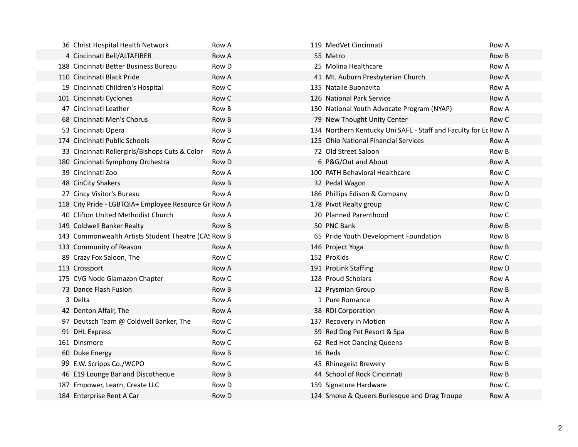| 36 Christ Hospital Health Network                    | Row A | 119 MedVet Cincinnati                                           | Row A |
|------------------------------------------------------|-------|-----------------------------------------------------------------|-------|
| 4 Cincinnati Bell/ALTAFIBER                          | Row A | 55 Metro                                                        | Row B |
| 188 Cincinnati Better Business Bureau                | Row D | 25 Molina Healthcare                                            | Row A |
| 110 Cincinnati Black Pride                           | Row A | 41 Mt. Auburn Presbyterian Church                               | Row A |
| 19 Cincinnati Children's Hospital                    | Row C | 135 Natalie Buonavita                                           | Row A |
| 101 Cincinnati Cyclones                              | Row C | 126 National Park Service                                       | Row A |
| 47 Cincinnati Leather                                | Row B | 130 National Youth Advocate Program (NYAP)                      | Row A |
| 68 Cincinnati Men's Chorus                           | Row B | 79 New Thought Unity Center                                     | Row C |
| 53 Cincinnati Opera                                  | Row B | 134 Northern Kentucky Uni SAFE - Staff and Faculty for Ec Row A |       |
| 174 Cincinnati Public Schools                        | Row C | 125 Ohio National Financial Services                            | Row A |
| 33 Cincinnati Rollergirls/Bishops Cuts & Color       | Row A | 72 Old Street Saloon                                            | Row B |
| 180 Cincinnati Symphony Orchestra                    | Row D | 6 P&G/Out and About                                             | Row A |
| 39 Cincinnati Zoo                                    | Row A | 100 PATH Behavioral Healthcare                                  | Row C |
| 48 CinCity Shakers                                   | Row B | 32 Pedal Wagon                                                  | Row A |
| 27 Cincy Visitor's Bureau                            | Row A | 186 Phillips Edison & Company                                   | Row D |
| 118 City Pride - LGBTQIA+ Employee Resource Gr Row A |       | 178 Pivot Realty group                                          | Row C |
| 40 Clifton United Methodist Church                   | Row A | 20 Planned Parenthood                                           | Row C |
| 149 Coldwell Banker Realty                           | Row B | 50 PNC Bank                                                     | Row B |
| 143 Commonwealth Artists Student Theatre (CAS Row B  |       | 65 Pride Youth Development Foundation                           | Row B |
| 133 Community of Reason                              | Row A | 146 Project Yoga                                                | Row B |
| 89 Crazy Fox Saloon, The                             | Row C | 152 ProKids                                                     | Row C |
| 113 Crossport                                        | Row A | 191 ProLink Staffing                                            | Row D |
| 175 CVG Node Glamazon Chapter                        | Row C | 128 Proud Scholars                                              | Row A |
| 73 Dance Flash Fusion                                | Row B | 12 Prysmian Group                                               | Row B |
| 3 Delta                                              | Row A | 1 Pure Romance                                                  | Row A |
| 42 Denton Affair, The                                | Row A | 38 RDI Corporation                                              | Row A |
| 97 Deutsch Team @ Coldwell Banker, The               | Row C | 137 Recovery in Motion                                          | Row A |
| 91 DHL Express                                       | Row C | 59 Red Dog Pet Resort & Spa                                     | Row B |
| 161 Dinsmore                                         | Row C | 62 Red Hot Dancing Queens                                       | Row B |
| 60 Duke Energy                                       | Row B | 16 Reds                                                         | Row C |
| 99 E.W. Scripps Co./WCPO                             | Row C | 45 Rhinegeist Brewery                                           | Row B |
| 46 E19 Lounge Bar and Discotheque                    | Row B | 44 School of Rock Cincinnati                                    | Row B |
| 187 Empower, Learn, Create LLC                       | Row D | 159 Signature Hardware                                          | Row C |
| 184 Enterprise Rent A Car                            | Row D | 124 Smoke & Queers Burlesque and Drag Troupe                    | Row A |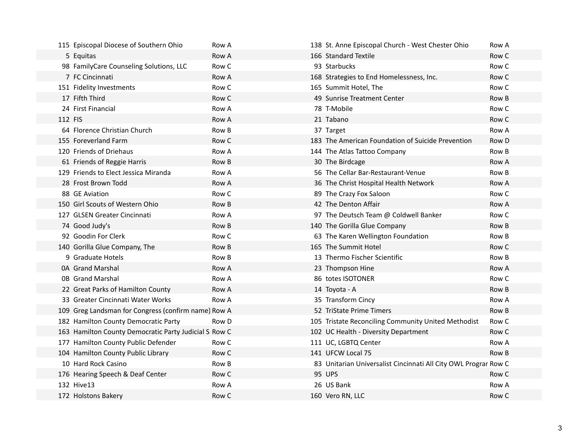|         | 115 Episcopal Diocese of Southern Ohio                | Row A | 138 St. Anne Episcopal Church - West Chester Ohio               | Row A |
|---------|-------------------------------------------------------|-------|-----------------------------------------------------------------|-------|
|         | 5 Equitas                                             | Row A | 166 Standard Textile                                            | Row C |
|         | 98 FamilyCare Counseling Solutions, LLC               | Row C | 93 Starbucks                                                    | Row C |
|         | 7 FC Cincinnati                                       | Row A | 168 Strategies to End Homelessness, Inc.                        | Row C |
|         | 151 Fidelity Investments                              | Row C | 165 Summit Hotel, The                                           | Row C |
|         | 17 Fifth Third                                        | Row C | 49 Sunrise Treatment Center                                     | Row B |
|         | 24 First Financial                                    | Row A | 78 T-Mobile                                                     | Row C |
| 112 FIS |                                                       | Row A | 21 Tabano                                                       | Row C |
|         | 64 Florence Christian Church                          | Row B | 37 Target                                                       | Row A |
|         | 155 Foreverland Farm                                  | Row C | 183 The American Foundation of Suicide Prevention               | Row D |
|         | 120 Friends of Driehaus                               | Row A | 144 The Atlas Tattoo Company                                    | Row B |
|         | 61 Friends of Reggie Harris                           | Row B | 30 The Birdcage                                                 | Row A |
|         | 129 Friends to Elect Jessica Miranda                  | Row A | 56 The Cellar Bar-Restaurant-Venue                              | Row B |
|         | 28 Frost Brown Todd                                   | Row A | 36 The Christ Hospital Health Network                           | Row A |
|         | 88 GE Aviation                                        | Row C | 89 The Crazy Fox Saloon                                         | Row C |
|         | 150 Girl Scouts of Western Ohio                       | Row B | 42 The Denton Affair                                            | Row A |
|         | 127 GLSEN Greater Cincinnati                          | Row A | 97 The Deutsch Team @ Coldwell Banker                           | Row C |
|         | 74 Good Judy's                                        | Row B | 140 The Gorilla Glue Company                                    | Row B |
|         | 92 Goodin For Clerk                                   | Row C | 63 The Karen Wellington Foundation                              | Row B |
|         | 140 Gorilla Glue Company, The                         | Row B | 165 The Summit Hotel                                            | Row C |
|         | 9 Graduate Hotels                                     | Row B | 13 Thermo Fischer Scientific                                    | Row B |
|         | 0A Grand Marshal                                      | Row A | 23 Thompson Hine                                                | Row A |
|         | <b>0B</b> Grand Marshal                               | Row A | 86 totes ISOTONER                                               | Row C |
|         | 22 Great Parks of Hamilton County                     | Row A | 14 Toyota - A                                                   | Row B |
|         | 33 Greater Cincinnati Water Works                     | Row A | 35 Transform Cincy                                              | Row A |
|         | 109 Greg Landsman for Congress (confirm name) Row A   |       | 52 TriState Prime Timers                                        | Row B |
|         | 182 Hamilton County Democratic Party                  | Row D | 105 Tristate Reconciling Community United Methodist             | Row C |
|         | 163 Hamilton County Democratic Party Judicial S Row C |       | 102 UC Health - Diversity Department                            | Row C |
|         | 177 Hamilton County Public Defender                   | Row C | 111 UC, LGBTQ Center                                            | Row A |
|         | 104 Hamilton County Public Library                    | Row C | 141 UFCW Local 75                                               | Row B |
|         | 10 Hard Rock Casino                                   | Row B | 83 Unitarian Universalist Cincinnati All City OWL Prograr Row C |       |
|         | 176 Hearing Speech & Deaf Center                      | Row C | <b>95 UPS</b>                                                   | Row C |
|         | 132 Hive13                                            | Row A | 26 US Bank                                                      | Row A |
|         | 172 Holstons Bakery                                   | Row C | 160 Vero RN, LLC                                                | Row C |
|         |                                                       |       |                                                                 |       |